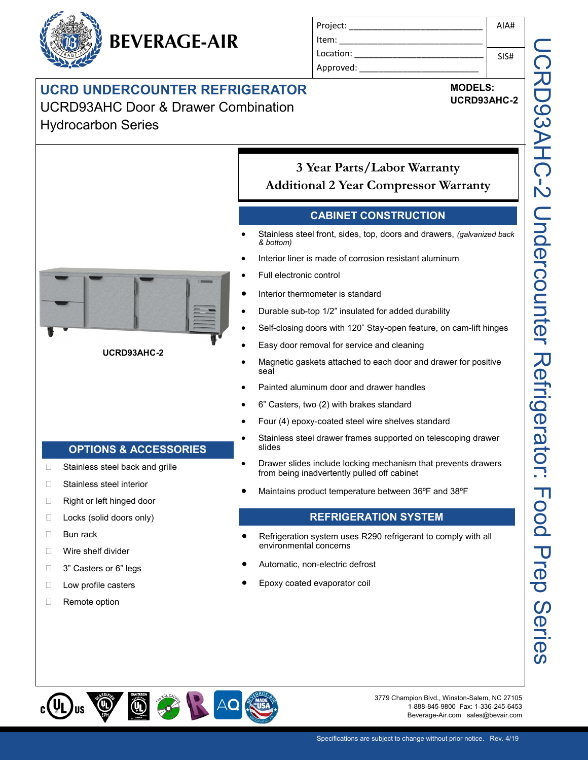

| Project:  | AIA# |
|-----------|------|
| ltem:     |      |
| Location: | SIS# |
| Approved: |      |

## **UCRD UNDERCOUNTER REFRIGERATOR**

UCRD93AHC Door & Drawer Combination Hydrocarbon Series

**MODELS: UCRD93AHC-2**



#### **UCRD93AHC-2**

**OPTIONS & ACCESSORIES**

□ Stainless steel back and grille

□ Stainless steel interior □ Right or left hinged door □ Locks (solid doors only)

**Bun rack** 

 Wire shelf divider □ 3" Casters or 6" legs □ Low profile casters □ Remote option

- **Additional 2 Year Compressor Warranty CABINET CONSTRUCTION**
- Stainless steel front, sides, top, doors and drawers, *(galvanized back & bottom)*

**3 Year Parts/Labor Warranty**

- Interior liner is made of corrosion resistant aluminum
- Full electronic control
- Interior thermometer is standard
- Durable sub-top 1/2" insulated for added durability
- Self-closing doors with 120˚ Stay-open feature, on cam-lift hinges
- Easy door removal for service and cleaning
- Magnetic gaskets attached to each door and drawer for positive seal
- Painted aluminum door and drawer handles
- 6" Casters, two (2) with brakes standard
- Four (4) epoxy-coated steel wire shelves standard
- Stainless steel drawer frames supported on telescoping drawer slides
- Drawer slides include locking mechanism that prevents drawers from being inadvertently pulled off cabinet
- Maintains product temperature between 36ºF and 38ºF

### **REFRIGERATION SYSTEM**

- Refrigeration system uses R290 refrigerant to comply with all environmental concerns
- Automatic, non-electric defrost
- Epoxy coated evaporator coil



3779 Champion Blvd., Winston-Salem, NC 27105 1-888-845-9800 Fax: 1-336-245-6453 Beverage-Air.com sales@bevair.com